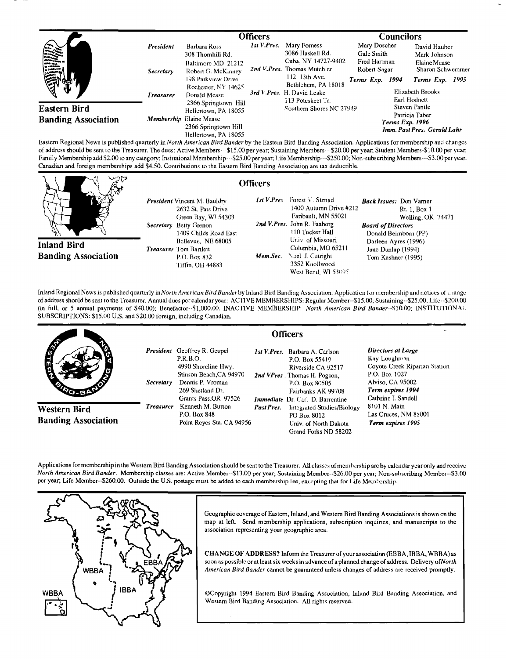|                                                    |                                            |                                                                                                                                           | <b>Officers</b> |                                                                                                                                                                                               | <b>Councilors</b>                                                             |                                                                                   |                                                                                                                         |  |
|----------------------------------------------------|--------------------------------------------|-------------------------------------------------------------------------------------------------------------------------------------------|-----------------|-----------------------------------------------------------------------------------------------------------------------------------------------------------------------------------------------|-------------------------------------------------------------------------------|-----------------------------------------------------------------------------------|-------------------------------------------------------------------------------------------------------------------------|--|
| $    -$<br><b>VARIOUS</b><br>a venime.<br>A tamara | President<br>Secretary<br><b>Treasurer</b> | Barbara Ross<br>308 Thomhill Rd.<br>Baltimore MD 21212<br>Robert G. McKinney<br>198 Parkview Drive<br>Rochester, NY 14625<br>Donald Mease |                 | 1st V.Pres. Mary Forness<br>3086 Haskell Rd.<br>Cuba, NY 14727-9402<br>2nd V.Pres. Thomas Mutchler<br>112 13th Ave.<br>Bethlehem, PA 18018<br>3rd V.Pres. H. David Leake<br>113 Poteskeet Tr. | Mary Doscher<br>Gale Smith<br>Fred Hartman<br>Robert Sagar<br>Terms Exp. 1994 |                                                                                   | David Hauber<br>Mark Johnson<br>Elaine Mease<br>Sharon Schwemmer<br>Terms Exp. 1995<br>Elizabeth Brooks<br>Earl Hodnett |  |
| Eastern Bird<br><b>Banding Association</b>         |                                            | 2366 Springtown Hill<br>Hellertown, PA 18055<br>Membership Elaine Mease<br>2366 Springtown Hill<br>Hellertown, PA 18055                   |                 | Southern Shores NC 27949                                                                                                                                                                      |                                                                               | Steven Pantle<br>Patricia Taber<br>Terms Exp. 1996<br>Imm. Past Pres. Gerald Lahr |                                                                                                                         |  |

**Eastern Regional News is pubhshed quarterly in North American Bird Bander by the Eastern Bird Banding Association. Apphcations for membership and changes**  of address should be sent to the Treasurer. The dues: Active Members---\$15.00 per year; Sustaining Members---\$20.00 per year; Student Members-\$10.00 per year; Family Membership add \$2.00 to any category; Insitutional Membership---\$25.00 per year; Life Membership---\$250.00; Non-subscribing Members---\$3.00 per year. **Canadian and foreign memberships add \$4.50. Contributions to the Eastern Bird Banding Association are lax deductible.** 

**Officers** 

**Inland Bird Banding Association** 

**President** Vincent M. Bauldry **1st V.Pres 2632 St. Pats Drive**  Green Bay, WI 54303 Secretary Betty Grenon **1409 Childs Road East Bellevue, NE 68005 Treasurer** Tom Bartlett **P.O. Box 832** *Mem.Sec.* **Tiffin, OH 44883** 

#### Forest V. Strnad **1400 Autumn Drive #212 Faribault, MN 55021**  2nd V.Pres. John R. Faaborg **110 Tucker Hall**  Univ. of Missouri **Columbia, MO 65211 Noel J. Catfight 3352 Knellwood West Bend, WI 53095 Back Issues: Don Varner Rt. 1, Box 1 Welling, OK 74471 Board of Directors Donald Beimbom (PP) Darleen Ayres (1996) Jane Dunlap (1994) Tom Kashner (1995)**

Inland Regional News is published quarterly in North American Bird Bander by Inland Bird Banding Association. Application for membership and notices of change **of address should be sento the Treasurer. Annual dues per calendar year: ACTIVE MEMBERS !tIPS: Regular Member--\$15.00; Sustaining--S25.00; Litc--\$200.00 (in full, or 5 annual payments of \$40.00); Benefactor--S1,000.00. INACTiVE MEMBERSHIP: North American Bird Bander--S10.00; INSTITUTIONAL SUBSCRIPTIONS: \$15.00 U.S. and \$20.00 foreign, including Canadian.** 

|                                            | <b>Officers</b>  |                                                                                                                                                                    |            |                                                                                                                                                                                                  |                                                                                                                                                     |
|--------------------------------------------|------------------|--------------------------------------------------------------------------------------------------------------------------------------------------------------------|------------|--------------------------------------------------------------------------------------------------------------------------------------------------------------------------------------------------|-----------------------------------------------------------------------------------------------------------------------------------------------------|
| <b>A</b>                                   | <i>Secretary</i> | <b>President</b> Geoffrey R. Geupel<br>P.R.B.O.<br>4990 Shoreline Hwy.<br>Stinson Beach, CA 94970<br>Dennis P. Vroman<br>269 Shetland Dr.<br>Grants Pass, OR 97526 |            | <i>Ist V.Pres.</i> Barbara A. Carlson<br>P.O. Box 55419<br>Riverside CA 92517<br>2nd VPres. Thomas H. Pogson,<br>P.O. Box 80505<br>Fairbanks AK 99708<br><i>Immediate</i> Dr. Carl D. Barrentine | Directors at Large<br>Kay Loughman<br>Coyote Creek Riparian Station<br>P.O. Box 1027<br>Alviso, CA 95002<br>Term expires 1994<br>Cathrine L Sandell |
| Western Bird<br><b>Banding Association</b> | <b>Treasurer</b> | Kenneth M. Burton<br>P.O. Box 848<br>Point Reves Sta. CA 94956                                                                                                     | Past Pres. | Integrated Studies/Biology<br>PO Box 8012<br>Univ. of North Dakota<br>Grand Forks ND 58202                                                                                                       | 8101 N. Main<br>Las Cruces, NM 88001<br>Term expires 1995                                                                                           |

Applications formembership in the Western Bird Banding Association should be sent to the Treasurer. All classes of membership are by calendar year only and receive **North American Bird Bander. Membership classes are: Active Member--\$13.00 per year; Sustaining Member -\$26.00 per year; Non-subscribing Member--S3.00 per year; Life Member--S260.00. Outside the U.S. postage must be added to each membership fee, excepting that for Life Membership.** 



Geographic coverage of Eastern, Inland, and Western Bird Banding Associations is shown on the map at left. Send membership applications, subscription inquiries, and manuscripts to the **association representing your geographic area.** 

**CHANGE OF ADDRESS? Inform the Treasurer of your association (EBBA, IBBA, WBB A) as soon as possible or at least six weeks in advance of a planned change of address. Delivery of North American Bird Bander cannot be guaranteed unless changes of address are received promptly.** 

**¸Copyright 1994 Eastern Bird Banding Association, Inland Bi:d Banding Association, and Western Bird Banding Association. All rights reserved.**